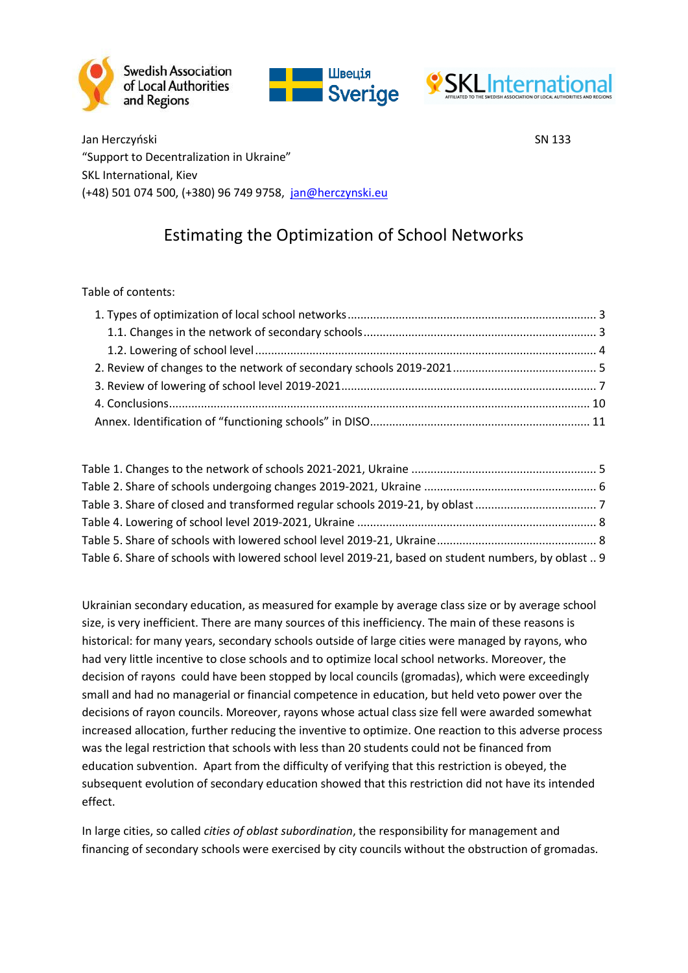





Jan Herczyński SN 133 "Support to Decentralization in Ukraine" SKL International, Kiev (+48) 501 074 500, (+380) 96 749 9758, [jan@herczynski.eu](mailto:jan@herczynski.eu)

# Estimating the Optimization of School Networks

#### Table of contents:

| Table 6. Share of schools with lowered school level 2019-21, based on student numbers, by oblast  9 |  |
|-----------------------------------------------------------------------------------------------------|--|

Ukrainian secondary education, as measured for example by average class size or by average school size, is very inefficient. There are many sources of this inefficiency. The main of these reasons is historical: for many years, secondary schools outside of large cities were managed by rayons, who had very little incentive to close schools and to optimize local school networks. Moreover, the decision of rayons could have been stopped by local councils (gromadas), which were exceedingly small and had no managerial or financial competence in education, but held veto power over the decisions of rayon councils. Moreover, rayons whose actual class size fell were awarded somewhat increased allocation, further reducing the inventive to optimize. One reaction to this adverse process was the legal restriction that schools with less than 20 students could not be financed from education subvention. Apart from the difficulty of verifying that this restriction is obeyed, the subsequent evolution of secondary education showed that this restriction did not have its intended effect.

In large cities, so called *cities of oblast subordination*, the responsibility for management and financing of secondary schools were exercised by city councils without the obstruction of gromadas.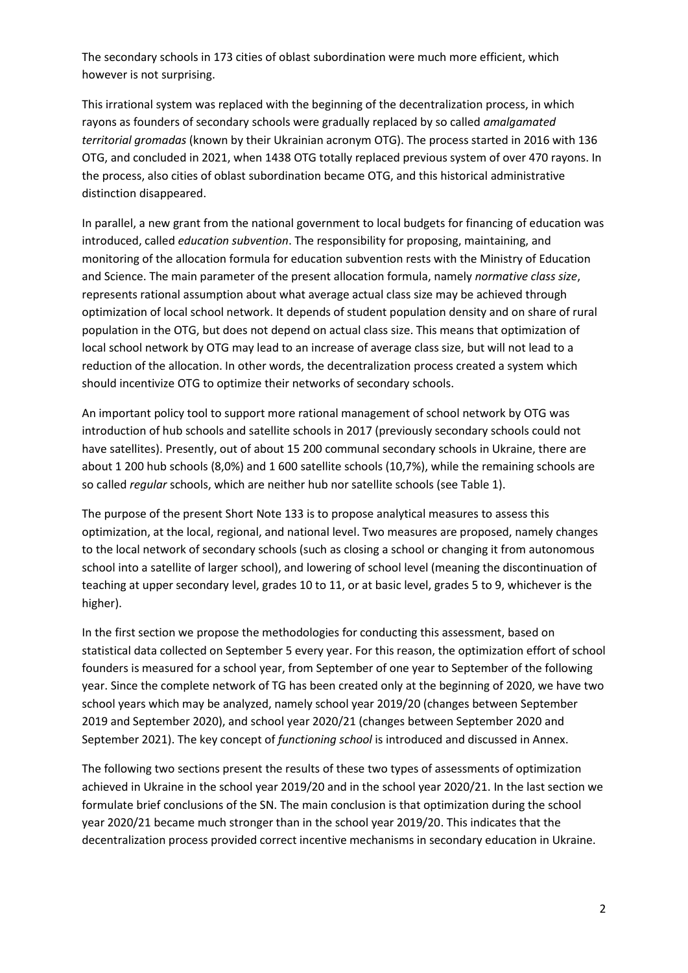The secondary schools in 173 cities of oblast subordination were much more efficient, which however is not surprising.

This irrational system was replaced with the beginning of the decentralization process, in which rayons as founders of secondary schools were gradually replaced by so called *amalgamated territorial gromadas* (known by their Ukrainian acronym OTG). The process started in 2016 with 136 OTG, and concluded in 2021, when 1438 OTG totally replaced previous system of over 470 rayons. In the process, also cities of oblast subordination became OTG, and this historical administrative distinction disappeared.

In parallel, a new grant from the national government to local budgets for financing of education was introduced, called *education subvention*. The responsibility for proposing, maintaining, and monitoring of the allocation formula for education subvention rests with the Ministry of Education and Science. The main parameter of the present allocation formula, namely *normative class size*, represents rational assumption about what average actual class size may be achieved through optimization of local school network. It depends of student population density and on share of rural population in the OTG, but does not depend on actual class size. This means that optimization of local school network by OTG may lead to an increase of average class size, but will not lead to a reduction of the allocation. In other words, the decentralization process created a system which should incentivize OTG to optimize their networks of secondary schools.

An important policy tool to support more rational management of school network by OTG was introduction of hub schools and satellite schools in 2017 (previously secondary schools could not have satellites). Presently, out of about 15 200 communal secondary schools in Ukraine, there are about 1 200 hub schools (8,0%) and 1 600 satellite schools (10,7%), while the remaining schools are so called *regular* schools, which are neither hub nor satellite schools (see [Table 1\)](#page-4-1).

The purpose of the present Short Note 133 is to propose analytical measures to assess this optimization, at the local, regional, and national level. Two measures are proposed, namely changes to the local network of secondary schools (such as closing a school or changing it from autonomous school into a satellite of larger school), and lowering of school level (meaning the discontinuation of teaching at upper secondary level, grades 10 to 11, or at basic level, grades 5 to 9, whichever is the higher).

In the first section we propose the methodologies for conducting this assessment, based on statistical data collected on September 5 every year. For this reason, the optimization effort of school founders is measured for a school year, from September of one year to September of the following year. Since the complete network of TG has been created only at the beginning of 2020, we have two school years which may be analyzed, namely school year 2019/20 (changes between September 2019 and September 2020), and school year 2020/21 (changes between September 2020 and September 2021). The key concept of *functioning school* is introduced and discussed in Annex.

The following two sections present the results of these two types of assessments of optimization achieved in Ukraine in the school year 2019/20 and in the school year 2020/21. In the last section we formulate brief conclusions of the SN. The main conclusion is that optimization during the school year 2020/21 became much stronger than in the school year 2019/20. This indicates that the decentralization process provided correct incentive mechanisms in secondary education in Ukraine.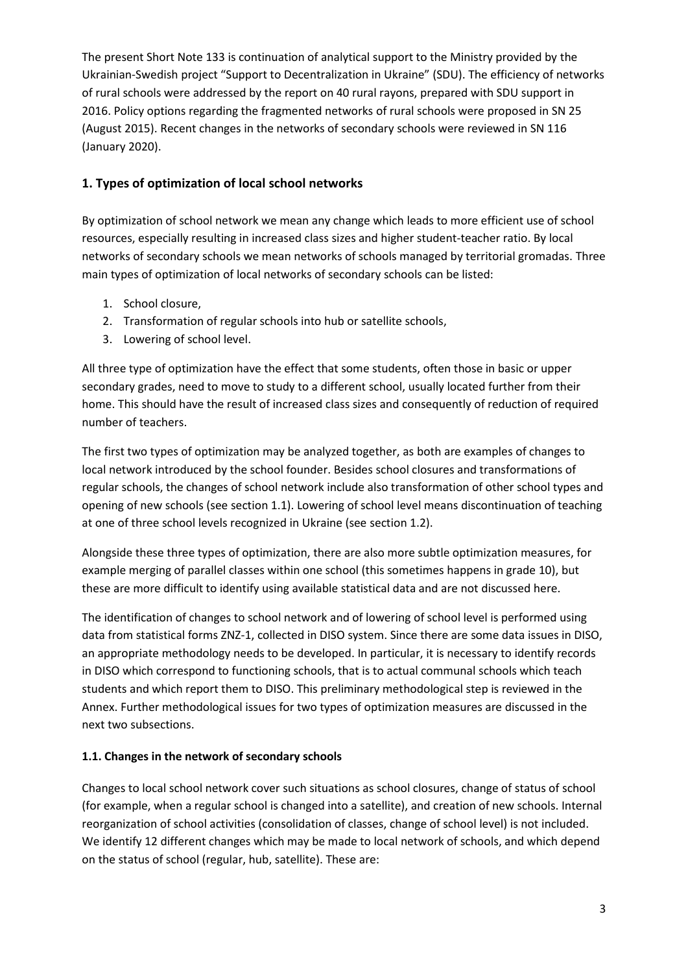The present Short Note 133 is continuation of analytical support to the Ministry provided by the Ukrainian-Swedish project "Support to Decentralization in Ukraine" (SDU). The efficiency of networks of rural schools were addressed by the report on 40 rural rayons, prepared with SDU support in 2016. Policy options regarding the fragmented networks of rural schools were proposed in SN 25 (August 2015). Recent changes in the networks of secondary schools were reviewed in SN 116 (January 2020).

#### <span id="page-2-0"></span>**1. Types of optimization of local school networks**

By optimization of school network we mean any change which leads to more efficient use of school resources, especially resulting in increased class sizes and higher student-teacher ratio. By local networks of secondary schools we mean networks of schools managed by territorial gromadas. Three main types of optimization of local networks of secondary schools can be listed:

- 1. School closure,
- 2. Transformation of regular schools into hub or satellite schools,
- 3. Lowering of school level.

All three type of optimization have the effect that some students, often those in basic or upper secondary grades, need to move to study to a different school, usually located further from their home. This should have the result of increased class sizes and consequently of reduction of required number of teachers.

The first two types of optimization may be analyzed together, as both are examples of changes to local network introduced by the school founder. Besides school closures and transformations of regular schools, the changes of school network include also transformation of other school types and opening of new schools (see section 1.1). Lowering of school level means discontinuation of teaching at one of three school levels recognized in Ukraine (see section 1.2).

Alongside these three types of optimization, there are also more subtle optimization measures, for example merging of parallel classes within one school (this sometimes happens in grade 10), but these are more difficult to identify using available statistical data and are not discussed here.

The identification of changes to school network and of lowering of school level is performed using data from statistical forms ZNZ-1, collected in DISO system. Since there are some data issues in DISO, an appropriate methodology needs to be developed. In particular, it is necessary to identify records in DISO which correspond to functioning schools, that is to actual communal schools which teach students and which report them to DISO. This preliminary methodological step is reviewed in the Annex. Further methodological issues for two types of optimization measures are discussed in the next two subsections.

#### <span id="page-2-1"></span>**1.1. Changes in the network of secondary schools**

Changes to local school network cover such situations as school closures, change of status of school (for example, when a regular school is changed into a satellite), and creation of new schools. Internal reorganization of school activities (consolidation of classes, change of school level) is not included. We identify 12 different changes which may be made to local network of schools, and which depend on the status of school (regular, hub, satellite). These are: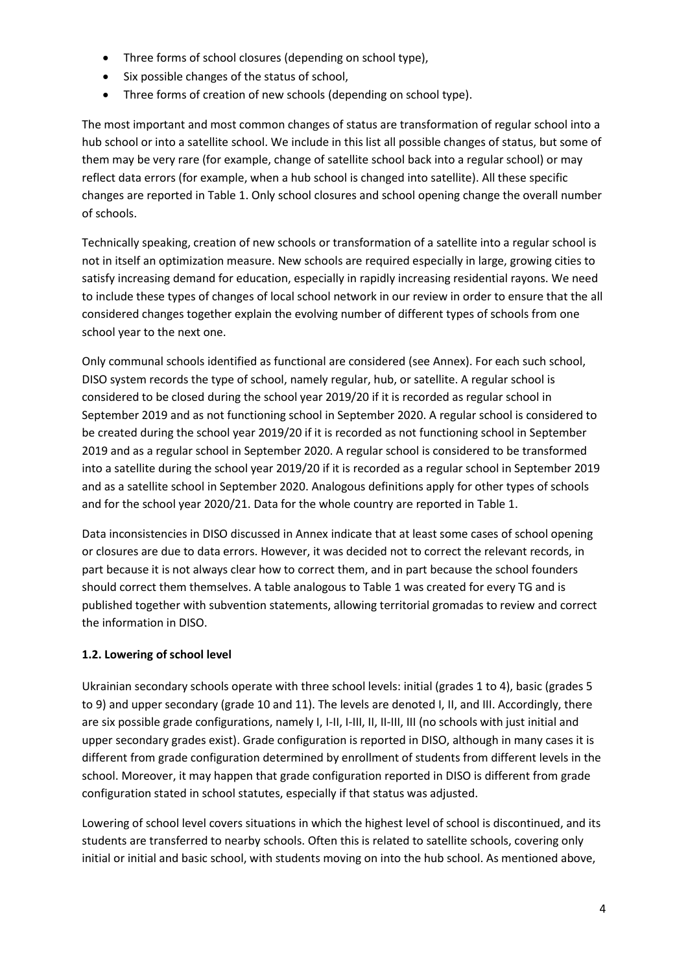- Three forms of school closures (depending on school type),
- Six possible changes of the status of school,
- Three forms of creation of new schools (depending on school type).

The most important and most common changes of status are transformation of regular school into a hub school or into a satellite school. We include in this list all possible changes of status, but some of them may be very rare (for example, change of satellite school back into a regular school) or may reflect data errors (for example, when a hub school is changed into satellite). All these specific changes are reported in [Table 1.](#page-4-1) Only school closures and school opening change the overall number of schools.

Technically speaking, creation of new schools or transformation of a satellite into a regular school is not in itself an optimization measure. New schools are required especially in large, growing cities to satisfy increasing demand for education, especially in rapidly increasing residential rayons. We need to include these types of changes of local school network in our review in order to ensure that the all considered changes together explain the evolving number of different types of schools from one school year to the next one.

Only communal schools identified as functional are considered (see Annex). For each such school, DISO system records the type of school, namely regular, hub, or satellite. A regular school is considered to be closed during the school year 2019/20 if it is recorded as regular school in September 2019 and as not functioning school in September 2020. A regular school is considered to be created during the school year 2019/20 if it is recorded as not functioning school in September 2019 and as a regular school in September 2020. A regular school is considered to be transformed into a satellite during the school year 2019/20 if it is recorded as a regular school in September 2019 and as a satellite school in September 2020. Analogous definitions apply for other types of schools and for the school year 2020/21. Data for the whole country are reported in [Table 1.](#page-4-1)

Data inconsistencies in DISO discussed in Annex indicate that at least some cases of school opening or closures are due to data errors. However, it was decided not to correct the relevant records, in part because it is not always clear how to correct them, and in part because the school founders should correct them themselves. A table analogous to [Table 1](#page-4-1) was created for every TG and is published together with subvention statements, allowing territorial gromadas to review and correct the information in DISO.

#### <span id="page-3-0"></span>**1.2. Lowering of school level**

Ukrainian secondary schools operate with three school levels: initial (grades 1 to 4), basic (grades 5 to 9) and upper secondary (grade 10 and 11). The levels are denoted I, II, and III. Accordingly, there are six possible grade configurations, namely I, I-II, I-III, II, II-III, III (no schools with just initial and upper secondary grades exist). Grade configuration is reported in DISO, although in many cases it is different from grade configuration determined by enrollment of students from different levels in the school. Moreover, it may happen that grade configuration reported in DISO is different from grade configuration stated in school statutes, especially if that status was adjusted.

Lowering of school level covers situations in which the highest level of school is discontinued, and its students are transferred to nearby schools. Often this is related to satellite schools, covering only initial or initial and basic school, with students moving on into the hub school. As mentioned above,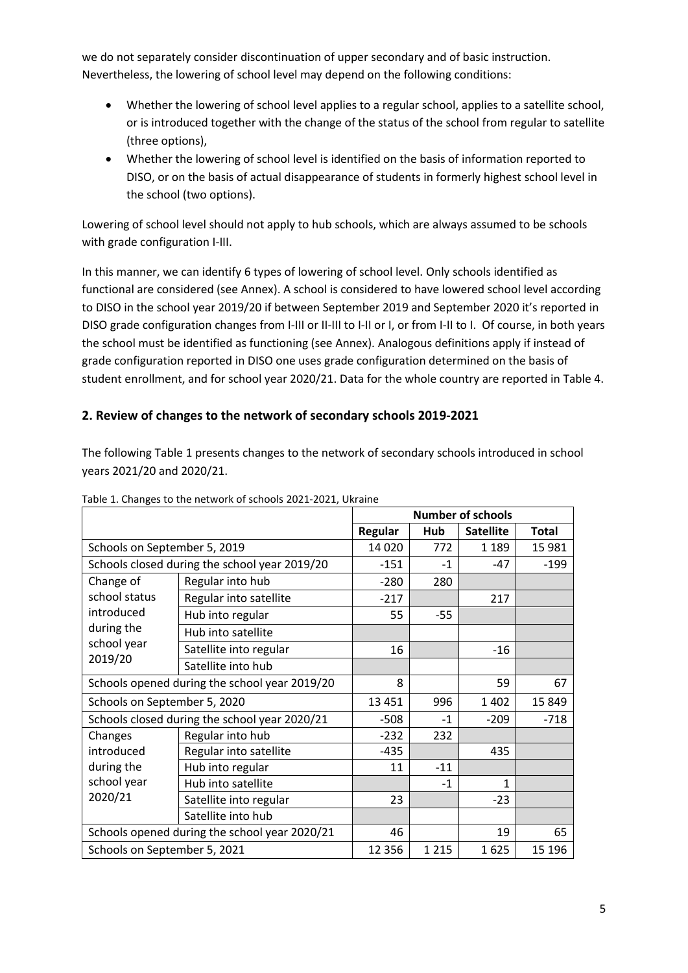we do not separately consider discontinuation of upper secondary and of basic instruction. Nevertheless, the lowering of school level may depend on the following conditions:

- Whether the lowering of school level applies to a regular school, applies to a satellite school, or is introduced together with the change of the status of the school from regular to satellite (three options),
- Whether the lowering of school level is identified on the basis of information reported to DISO, or on the basis of actual disappearance of students in formerly highest school level in the school (two options).

Lowering of school level should not apply to hub schools, which are always assumed to be schools with grade configuration I-III.

In this manner, we can identify 6 types of lowering of school level. Only schools identified as functional are considered (see Annex). A school is considered to have lowered school level according to DISO in the school year 2019/20 if between September 2019 and September 2020 it's reported in DISO grade configuration changes from I-III or II-III to I-II or I, or from I-II to I. Of course, in both years the school must be identified as functioning (see Annex). Analogous definitions apply if instead of grade configuration reported in DISO one uses grade configuration determined on the basis of student enrollment, and for school year 2020/21. Data for the whole country are reported in [Table 4.](#page-7-0)

## <span id="page-4-0"></span>**2. Review of changes to the network of secondary schools 2019-2021**

The following [Table 1](#page-4-1) presents changes to the network of secondary schools introduced in school years 2021/20 and 2020/21.

|                                               |                                               | <b>Number of schools</b> |                  |              |         |
|-----------------------------------------------|-----------------------------------------------|--------------------------|------------------|--------------|---------|
|                                               | Regular                                       | Hub                      | <b>Satellite</b> | <b>Total</b> |         |
| Schools on September 5, 2019                  |                                               | 14 0 20                  | 772              | 1 1 8 9      | 15 981  |
|                                               | Schools closed during the school year 2019/20 | $-151$                   | $-1$             | $-47$        | $-199$  |
| Change of                                     | Regular into hub                              | $-280$                   | 280              |              |         |
| school status                                 | Regular into satellite                        | $-217$                   |                  | 217          |         |
| introduced                                    | Hub into regular                              | 55                       | $-55$            |              |         |
| during the                                    | Hub into satellite                            |                          |                  |              |         |
| school year                                   | Satellite into regular                        | 16                       |                  | $-16$        |         |
| 2019/20                                       | Satellite into hub                            |                          |                  |              |         |
| Schools opened during the school year 2019/20 |                                               | 8                        |                  | 59           | 67      |
| Schools on September 5, 2020                  |                                               | 13 4 51                  | 996              | 1 4 0 2      | 15 8 49 |
|                                               | Schools closed during the school year 2020/21 | $-508$                   | $-1$             | $-209$       | $-718$  |
| Changes                                       | Regular into hub                              | $-232$                   | 232              |              |         |
| introduced                                    | Regular into satellite                        | $-435$                   |                  | 435          |         |
| during the                                    | Hub into regular                              | 11                       | $-11$            |              |         |
| school year                                   | Hub into satellite                            |                          | $-1$             | $\mathbf{1}$ |         |
| 2020/21                                       | Satellite into regular                        | 23                       |                  | $-23$        |         |
|                                               | Satellite into hub                            |                          |                  |              |         |
| Schools opened during the school year 2020/21 |                                               | 46                       |                  | 19           | 65      |
| Schools on September 5, 2021                  |                                               | 12 3 5 6                 | 1 2 1 5          | 1625         | 15 196  |

<span id="page-4-1"></span>Table 1. Changes to the network of schools 2021-2021, Ukraine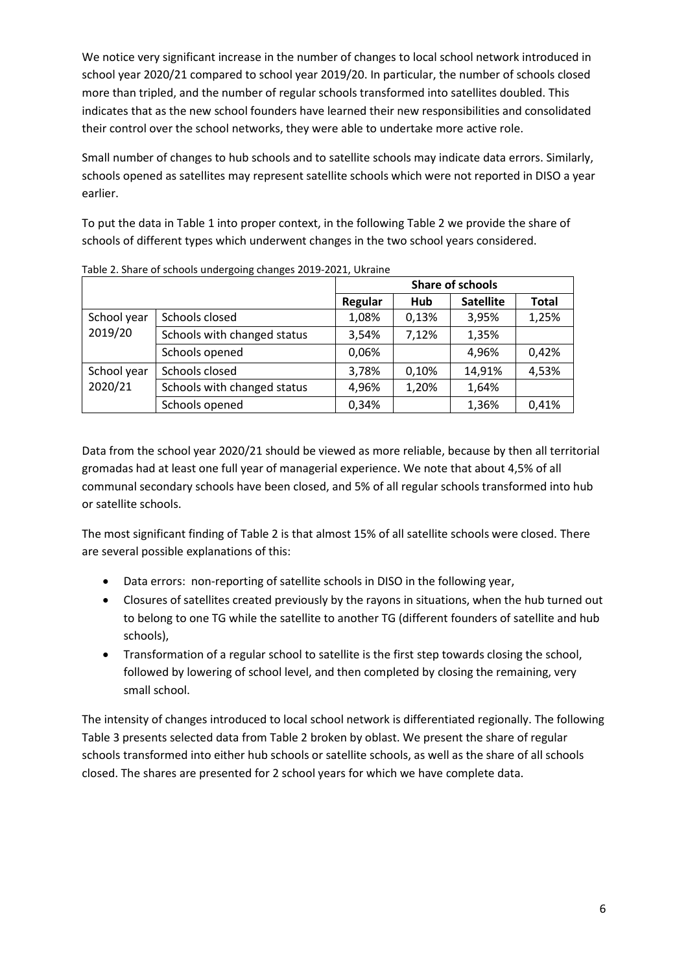We notice very significant increase in the number of changes to local school network introduced in school year 2020/21 compared to school year 2019/20. In particular, the number of schools closed more than tripled, and the number of regular schools transformed into satellites doubled. This indicates that as the new school founders have learned their new responsibilities and consolidated their control over the school networks, they were able to undertake more active role.

Small number of changes to hub schools and to satellite schools may indicate data errors. Similarly, schools opened as satellites may represent satellite schools which were not reported in DISO a year earlier.

To put the data in [Table 1](#page-4-1) into proper context, in the followin[g Table 2](#page-5-0) we provide the share of schools of different types which underwent changes in the two school years considered.

|             |                             | <b>Share of schools</b> |       |                  |              |
|-------------|-----------------------------|-------------------------|-------|------------------|--------------|
|             |                             | Regular                 | Hub   | <b>Satellite</b> | <b>Total</b> |
| School year | Schools closed              | 1,08%                   | 0,13% | 3,95%            | 1,25%        |
| 2019/20     | Schools with changed status | 3,54%                   | 7,12% | 1,35%            |              |
|             | Schools opened              | 0,06%                   |       | 4,96%            | 0,42%        |
| School year | Schools closed              | 3,78%                   | 0,10% | 14,91%           | 4,53%        |
| 2020/21     | Schools with changed status | 4,96%                   | 1,20% | 1,64%            |              |
|             | Schools opened              | 0,34%                   |       | 1,36%            | 0,41%        |

<span id="page-5-0"></span>Table 2. Share of schools undergoing changes 2019-2021, Ukraine

Data from the school year 2020/21 should be viewed as more reliable, because by then all territorial gromadas had at least one full year of managerial experience. We note that about 4,5% of all communal secondary schools have been closed, and 5% of all regular schools transformed into hub or satellite schools.

The most significant finding of [Table 2](#page-5-0) is that almost 15% of all satellite schools were closed. There are several possible explanations of this:

- Data errors: non-reporting of satellite schools in DISO in the following year,
- Closures of satellites created previously by the rayons in situations, when the hub turned out to belong to one TG while the satellite to another TG (different founders of satellite and hub schools),
- Transformation of a regular school to satellite is the first step towards closing the school, followed by lowering of school level, and then completed by closing the remaining, very small school.

The intensity of changes introduced to local school network is differentiated regionally. The following [Table 3](#page-6-1) presents selected data fro[m Table 2](#page-5-0) broken by oblast. We present the share of regular schools transformed into either hub schools or satellite schools, as well as the share of all schools closed. The shares are presented for 2 school years for which we have complete data.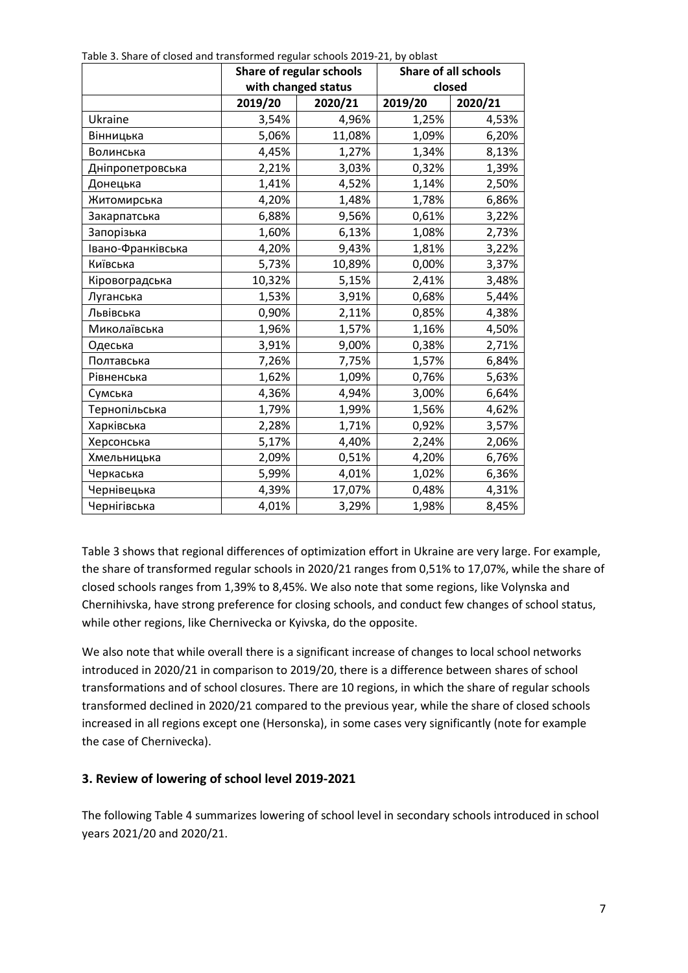|                   |         | Share of regular schools | <b>Share of all schools</b> |         |  |
|-------------------|---------|--------------------------|-----------------------------|---------|--|
|                   |         | with changed status      | closed                      |         |  |
|                   | 2019/20 | 2020/21                  | 2019/20                     | 2020/21 |  |
| Ukraine           | 3,54%   | 4,96%                    | 1,25%                       | 4,53%   |  |
| Вінницька         | 5,06%   | 11,08%                   | 1,09%                       | 6,20%   |  |
| Волинська         | 4,45%   | 1,27%                    | 1,34%                       | 8,13%   |  |
| Дніпропетровська  | 2,21%   | 3,03%                    | 0,32%                       | 1,39%   |  |
| Донецька          | 1,41%   | 4,52%                    | 1,14%                       | 2,50%   |  |
| Житомирська       | 4,20%   | 1,48%                    | 1,78%                       | 6,86%   |  |
| Закарпатська      | 6,88%   | 9,56%                    | 0,61%                       | 3,22%   |  |
| Запорізька        | 1,60%   | 6,13%                    | 1,08%                       | 2,73%   |  |
| Івано-Франківська | 4,20%   | 9,43%                    | 1,81%                       | 3,22%   |  |
| Київська          | 5,73%   | 10,89%                   | 0,00%                       | 3,37%   |  |
| Кіровоградська    | 10,32%  | 5,15%                    | 2,41%                       | 3,48%   |  |
| Луганська         | 1,53%   | 3,91%                    | 0,68%                       | 5,44%   |  |
| Львівська         | 0,90%   | 2,11%                    | 0,85%                       | 4,38%   |  |
| Миколаївська      | 1,96%   | 1,57%                    | 1,16%                       | 4,50%   |  |
| Одеська           | 3,91%   | 9,00%                    | 0,38%                       | 2,71%   |  |
| Полтавська        | 7,26%   | 7,75%                    | 1,57%                       | 6,84%   |  |
| Рівненська        | 1,62%   | 1,09%                    | 0,76%                       | 5,63%   |  |
| Сумська           | 4,36%   | 4,94%                    | 3,00%                       | 6,64%   |  |
| Тернопільська     | 1,79%   | 1,99%                    | 1,56%                       | 4,62%   |  |
| Харківська        | 2,28%   | 1,71%                    | 0,92%                       | 3,57%   |  |
| Херсонська        | 5,17%   | 4,40%                    | 2,24%                       | 2,06%   |  |
| Хмельницька       | 2,09%   | 0,51%                    | 4,20%                       | 6,76%   |  |
| Черкаська         | 5,99%   | 4,01%                    | 1,02%                       | 6,36%   |  |
| Чернівецька       | 4,39%   | 17,07%                   | 0,48%                       | 4,31%   |  |
| Чернігівська      | 4,01%   | 3,29%                    | 1,98%                       | 8,45%   |  |

<span id="page-6-1"></span>Table 3. Share of closed and transformed regular schools 2019-21, by oblast

[Table 3](#page-6-1) shows that regional differences of optimization effort in Ukraine are very large. For example, the share of transformed regular schools in 2020/21 ranges from 0,51% to 17,07%, while the share of closed schools ranges from 1,39% to 8,45%. We also note that some regions, like Volynska and Chernihivska, have strong preference for closing schools, and conduct few changes of school status, while other regions, like Chernivecka or Kyivska, do the opposite.

We also note that while overall there is a significant increase of changes to local school networks introduced in 2020/21 in comparison to 2019/20, there is a difference between shares of school transformations and of school closures. There are 10 regions, in which the share of regular schools transformed declined in 2020/21 compared to the previous year, while the share of closed schools increased in all regions except one (Hersonska), in some cases very significantly (note for example the case of Chernivecka).

#### <span id="page-6-0"></span>**3. Review of lowering of school level 2019-2021**

The following [Table 4](#page-7-0) summarizes lowering of school level in secondary schools introduced in school years 2021/20 and 2020/21.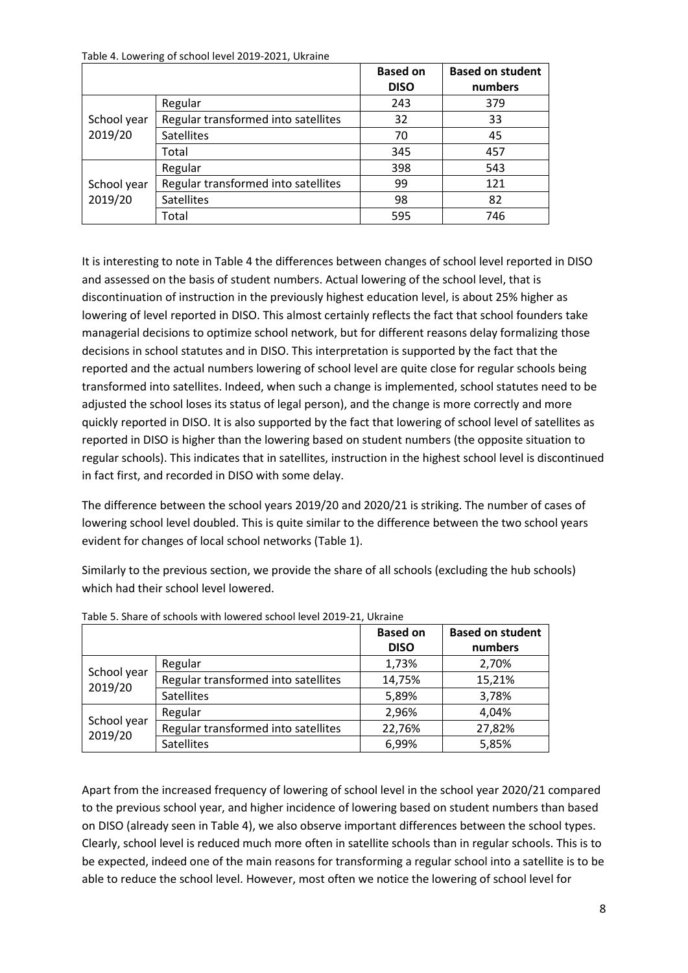<span id="page-7-0"></span>Table 4. Lowering of school level 2019-2021, Ukraine

|             |                                     | <b>Based on</b><br><b>DISO</b> | <b>Based on student</b><br>numbers |
|-------------|-------------------------------------|--------------------------------|------------------------------------|
|             |                                     |                                |                                    |
|             | Regular                             | 243                            | 379                                |
| School year | Regular transformed into satellites | 32                             | 33                                 |
| 2019/20     | <b>Satellites</b>                   | 70                             | 45                                 |
|             | Total                               | 345                            | 457                                |
|             | Regular                             | 398                            | 543                                |
| School year | Regular transformed into satellites | 99                             | 121                                |
| 2019/20     | <b>Satellites</b>                   | 98                             | 82                                 |
|             | Total                               | 595                            | 746                                |

It is interesting to note in [Table 4](#page-7-0) the differences between changes of school level reported in DISO and assessed on the basis of student numbers. Actual lowering of the school level, that is discontinuation of instruction in the previously highest education level, is about 25% higher as lowering of level reported in DISO. This almost certainly reflects the fact that school founders take managerial decisions to optimize school network, but for different reasons delay formalizing those decisions in school statutes and in DISO. This interpretation is supported by the fact that the reported and the actual numbers lowering of school level are quite close for regular schools being transformed into satellites. Indeed, when such a change is implemented, school statutes need to be adjusted the school loses its status of legal person), and the change is more correctly and more quickly reported in DISO. It is also supported by the fact that lowering of school level of satellites as reported in DISO is higher than the lowering based on student numbers (the opposite situation to regular schools). This indicates that in satellites, instruction in the highest school level is discontinued in fact first, and recorded in DISO with some delay.

The difference between the school years 2019/20 and 2020/21 is striking. The number of cases of lowering school level doubled. This is quite similar to the difference between the two school years evident for changes of local school networks [\(Table 1\)](#page-4-1).

Similarly to the previous section, we provide the share of all schools (excluding the hub schools) which had their school level lowered.

|                        |                                     | <b>Based on</b><br><b>DISO</b> | <b>Based on student</b><br>numbers |
|------------------------|-------------------------------------|--------------------------------|------------------------------------|
|                        | Regular                             | 1,73%                          | 2,70%                              |
| School year<br>2019/20 | Regular transformed into satellites | 14,75%                         | 15,21%                             |
|                        | <b>Satellites</b>                   | 5,89%                          | 3,78%                              |
|                        | Regular                             | 2,96%                          | 4,04%                              |
| School year<br>2019/20 | Regular transformed into satellites | 22,76%                         | 27,82%                             |
|                        | <b>Satellites</b>                   | 6,99%                          | 5,85%                              |

<span id="page-7-1"></span>

|  |  | Table 5. Share of schools with lowered school level 2019-21, Ukraine |
|--|--|----------------------------------------------------------------------|
|  |  |                                                                      |

Apart from the increased frequency of lowering of school level in the school year 2020/21 compared to the previous school year, and higher incidence of lowering based on student numbers than based on DISO (already seen i[n Table 4\)](#page-7-0), we also observe important differences between the school types. Clearly, school level is reduced much more often in satellite schools than in regular schools. This is to be expected, indeed one of the main reasons for transforming a regular school into a satellite is to be able to reduce the school level. However, most often we notice the lowering of school level for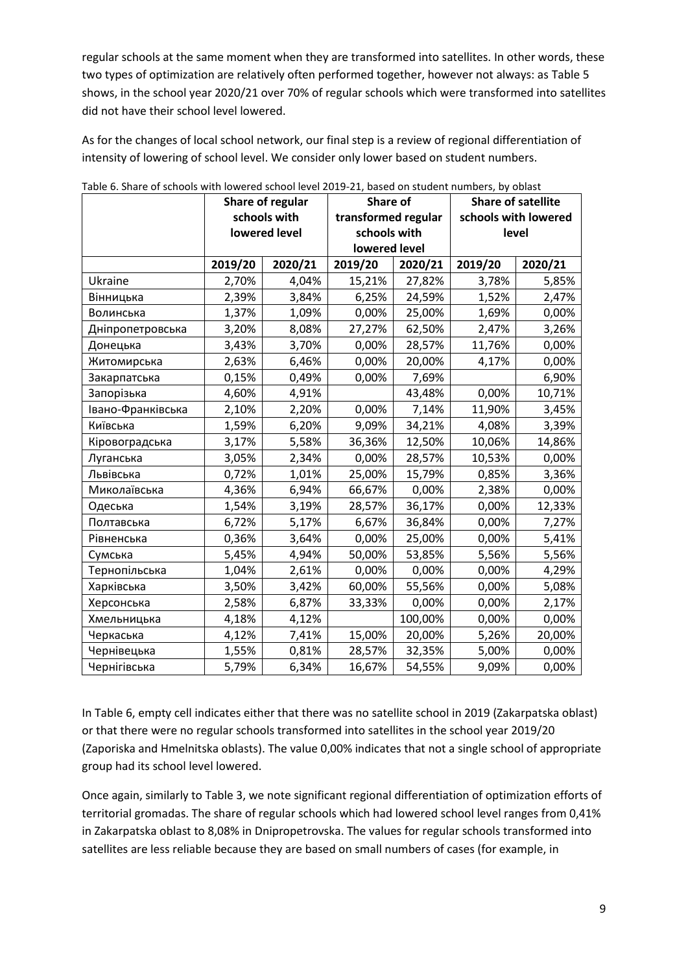regular schools at the same moment when they are transformed into satellites. In other words, these two types of optimization are relatively often performed together, however not always: as [Table 5](#page-7-1) shows, in the school year 2020/21 over 70% of regular schools which were transformed into satellites did not have their school level lowered.

As for the changes of local school network, our final step is a review of regional differentiation of intensity of lowering of school level. We consider only lower based on student numbers.

|                   | Share of regular |               | <b>Share of</b>     |         | <b>Share of satellite</b> |                      |
|-------------------|------------------|---------------|---------------------|---------|---------------------------|----------------------|
|                   |                  | schools with  | transformed regular |         |                           | schools with lowered |
|                   |                  | lowered level | schools with        |         | level                     |                      |
|                   |                  |               | lowered level       |         |                           |                      |
|                   | 2019/20          | 2020/21       | 2019/20             | 2020/21 | 2019/20                   | 2020/21              |
| Ukraine           | 2,70%            | 4,04%         | 15,21%              | 27,82%  | 3,78%                     | 5,85%                |
| Вінницька         | 2,39%            | 3,84%         | 6,25%               | 24,59%  | 1,52%                     | 2,47%                |
| Волинська         | 1,37%            | 1,09%         | 0,00%               | 25,00%  | 1,69%                     | 0,00%                |
| Дніпропетровська  | 3,20%            | 8,08%         | 27,27%              | 62,50%  | 2,47%                     | 3,26%                |
| Донецька          | 3,43%            | 3,70%         | 0,00%               | 28,57%  | 11,76%                    | 0,00%                |
| Житомирська       | 2,63%            | 6,46%         | 0,00%               | 20,00%  | 4,17%                     | 0,00%                |
| Закарпатська      | 0,15%            | 0,49%         | 0,00%               | 7,69%   |                           | 6,90%                |
| Запорізька        | 4,60%            | 4,91%         |                     | 43,48%  | 0,00%                     | 10,71%               |
| Івано-Франківська | 2,10%            | 2,20%         | 0,00%               | 7,14%   | 11,90%                    | 3,45%                |
| Київська          | 1,59%            | 6,20%         | 9,09%               | 34,21%  | 4,08%                     | 3,39%                |
| Кіровоградська    | 3,17%            | 5,58%         | 36,36%              | 12,50%  | 10,06%                    | 14,86%               |
| Луганська         | 3,05%            | 2,34%         | 0,00%               | 28,57%  | 10,53%                    | 0,00%                |
| Львівська         | 0,72%            | 1,01%         | 25,00%              | 15,79%  | 0,85%                     | 3,36%                |
| Миколаївська      | 4,36%            | 6,94%         | 66,67%              | 0,00%   | 2,38%                     | 0,00%                |
| Одеська           | 1,54%            | 3,19%         | 28,57%              | 36,17%  | 0,00%                     | 12,33%               |
| Полтавська        | 6,72%            | 5,17%         | 6,67%               | 36,84%  | 0,00%                     | 7,27%                |
| Рівненська        | 0,36%            | 3,64%         | 0,00%               | 25,00%  | 0,00%                     | 5,41%                |
| Сумська           | 5,45%            | 4,94%         | 50,00%              | 53,85%  | 5,56%                     | 5,56%                |
| Тернопільська     | 1,04%            | 2,61%         | 0,00%               | 0,00%   | 0,00%                     | 4,29%                |
| Харківська        | 3,50%            | 3,42%         | 60,00%              | 55,56%  | 0,00%                     | 5,08%                |
| Херсонська        | 2,58%            | 6,87%         | 33,33%              | 0,00%   | 0,00%                     | 2,17%                |
| Хмельницька       | 4,18%            | 4,12%         |                     | 100,00% | 0,00%                     | 0,00%                |
| Черкаська         | 4,12%            | 7,41%         | 15,00%              | 20,00%  | 5,26%                     | 20,00%               |
| Чернівецька       | 1,55%            | 0,81%         | 28,57%              | 32,35%  | 5,00%                     | 0,00%                |
| Чернігівська      | 5,79%            | 6,34%         | 16,67%              | 54,55%  | 9,09%                     | 0,00%                |

<span id="page-8-0"></span>Table 6. Share of schools with lowered school level 2019-21, based on student numbers, by oblast

In [Table 6,](#page-8-0) empty cell indicates either that there was no satellite school in 2019 (Zakarpatska oblast) or that there were no regular schools transformed into satellites in the school year 2019/20 (Zaporiska and Hmelnitska oblasts). The value 0,00% indicates that not a single school of appropriate group had its school level lowered.

Once again, similarly t[o Table 3,](#page-6-1) we note significant regional differentiation of optimization efforts of territorial gromadas. The share of regular schools which had lowered school level ranges from 0,41% in Zakarpatska oblast to 8,08% in Dnipropetrovska. The values for regular schools transformed into satellites are less reliable because they are based on small numbers of cases (for example, in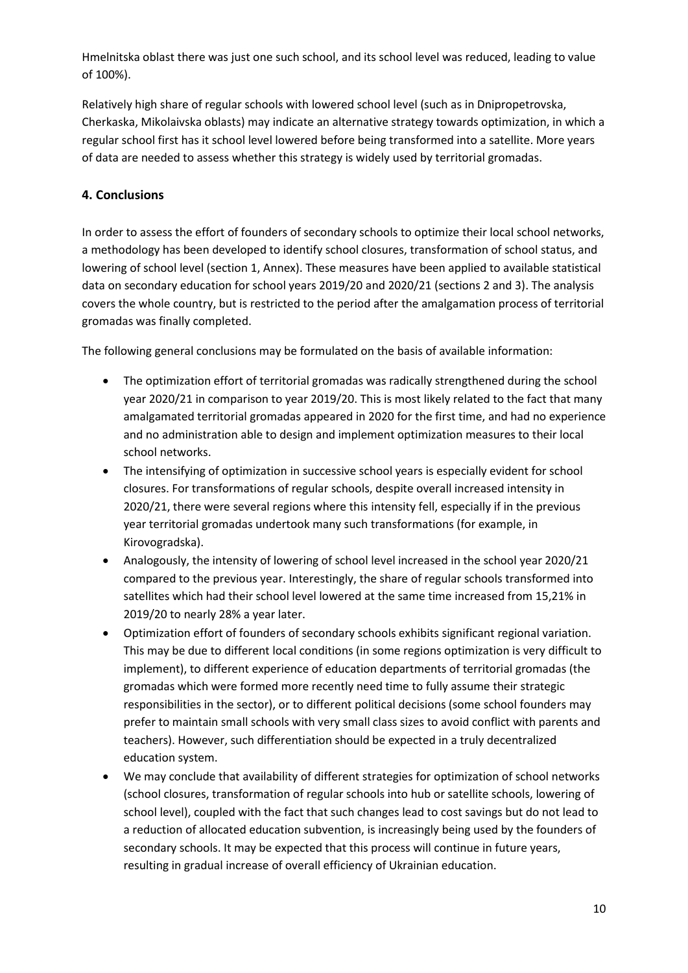Hmelnitska oblast there was just one such school, and its school level was reduced, leading to value of 100%).

Relatively high share of regular schools with lowered school level (such as in Dnipropetrovska, Cherkaska, Mikolaivska oblasts) may indicate an alternative strategy towards optimization, in which a regular school first has it school level lowered before being transformed into a satellite. More years of data are needed to assess whether this strategy is widely used by territorial gromadas.

## <span id="page-9-0"></span>**4. Conclusions**

In order to assess the effort of founders of secondary schools to optimize their local school networks, a methodology has been developed to identify school closures, transformation of school status, and lowering of school level (section 1, Annex). These measures have been applied to available statistical data on secondary education for school years 2019/20 and 2020/21 (sections 2 and 3). The analysis covers the whole country, but is restricted to the period after the amalgamation process of territorial gromadas was finally completed.

The following general conclusions may be formulated on the basis of available information:

- The optimization effort of territorial gromadas was radically strengthened during the school year 2020/21 in comparison to year 2019/20. This is most likely related to the fact that many amalgamated territorial gromadas appeared in 2020 for the first time, and had no experience and no administration able to design and implement optimization measures to their local school networks.
- The intensifying of optimization in successive school years is especially evident for school closures. For transformations of regular schools, despite overall increased intensity in 2020/21, there were several regions where this intensity fell, especially if in the previous year territorial gromadas undertook many such transformations (for example, in Kirovogradska).
- Analogously, the intensity of lowering of school level increased in the school year 2020/21 compared to the previous year. Interestingly, the share of regular schools transformed into satellites which had their school level lowered at the same time increased from 15,21% in 2019/20 to nearly 28% a year later.
- Optimization effort of founders of secondary schools exhibits significant regional variation. This may be due to different local conditions (in some regions optimization is very difficult to implement), to different experience of education departments of territorial gromadas (the gromadas which were formed more recently need time to fully assume their strategic responsibilities in the sector), or to different political decisions (some school founders may prefer to maintain small schools with very small class sizes to avoid conflict with parents and teachers). However, such differentiation should be expected in a truly decentralized education system.
- We may conclude that availability of different strategies for optimization of school networks (school closures, transformation of regular schools into hub or satellite schools, lowering of school level), coupled with the fact that such changes lead to cost savings but do not lead to a reduction of allocated education subvention, is increasingly being used by the founders of secondary schools. It may be expected that this process will continue in future years, resulting in gradual increase of overall efficiency of Ukrainian education.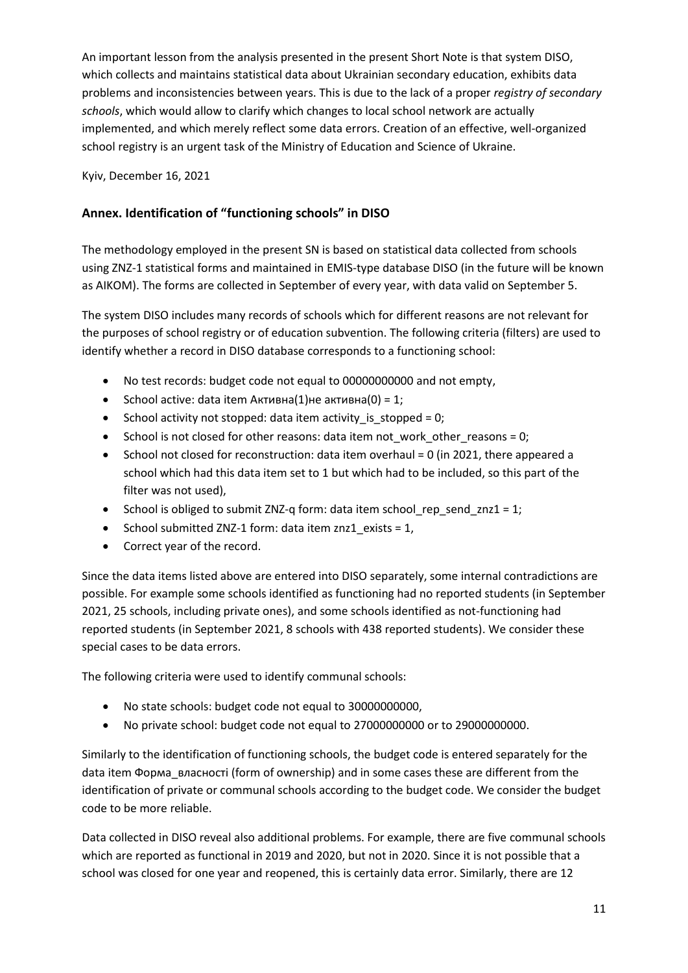An important lesson from the analysis presented in the present Short Note is that system DISO, which collects and maintains statistical data about Ukrainian secondary education, exhibits data problems and inconsistencies between years. This is due to the lack of a proper *registry of secondary schools*, which would allow to clarify which changes to local school network are actually implemented, and which merely reflect some data errors. Creation of an effective, well-organized school registry is an urgent task of the Ministry of Education and Science of Ukraine.

Kyiv, December 16, 2021

## <span id="page-10-0"></span>**Annex. Identification of "functioning schools" in DISO**

The methodology employed in the present SN is based on statistical data collected from schools using ZNZ-1 statistical forms and maintained in EMIS-type database DISO (in the future will be known as AIKOM). The forms are collected in September of every year, with data valid on September 5.

The system DISO includes many records of schools which for different reasons are not relevant for the purposes of school registry or of education subvention. The following criteria (filters) are used to identify whether a record in DISO database corresponds to a functioning school:

- No test records: budget code not equal to 00000000000 and not empty,
- School active: data item Активна $(1)$ не активна $(0) = 1$ ;
- School activity not stopped: data item activity is stopped = 0;
- School is not closed for other reasons: data item not work other reasons = 0;
- School not closed for reconstruction: data item overhaul = 0 (in 2021, there appeared a school which had this data item set to 1 but which had to be included, so this part of the filter was not used),
- School is obliged to submit ZNZ-q form: data item school\_rep\_send\_znz1 = 1;
- School submitted ZNZ-1 form: data item znz1 exists = 1,
- Correct year of the record.

Since the data items listed above are entered into DISO separately, some internal contradictions are possible. For example some schools identified as functioning had no reported students (in September 2021, 25 schools, including private ones), and some schools identified as not-functioning had reported students (in September 2021, 8 schools with 438 reported students). We consider these special cases to be data errors.

The following criteria were used to identify communal schools:

- No state schools: budget code not equal to 30000000000,
- No private school: budget code not equal to 27000000000 or to 29000000000.

Similarly to the identification of functioning schools, the budget code is entered separately for the data item Форма\_власності (form of ownership) and in some cases these are different from the identification of private or communal schools according to the budget code. We consider the budget code to be more reliable.

Data collected in DISO reveal also additional problems. For example, there are five communal schools which are reported as functional in 2019 and 2020, but not in 2020. Since it is not possible that a school was closed for one year and reopened, this is certainly data error. Similarly, there are 12